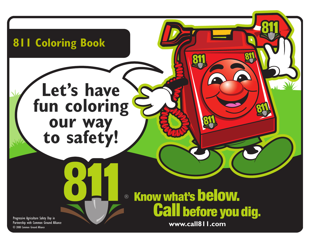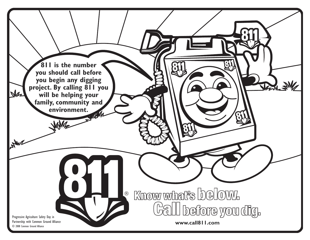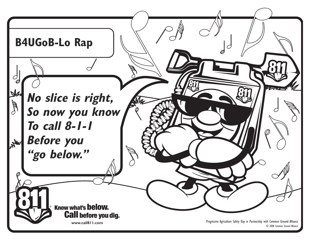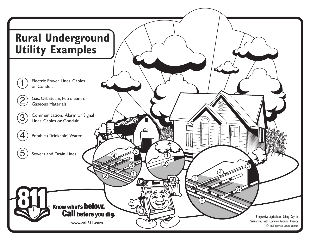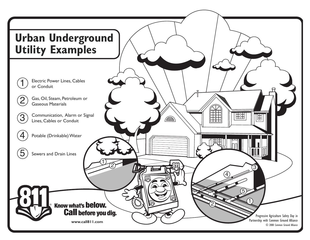

Electric Power Lines, Cables or Conduit

 $\overline{\mathsf{1}}$ 

2

3

 $\overline{4}$ 

5

Gas, Oil, Steam, Petroleum or Gaseous Materials

Communication, Alarm or Signal Lines, Cables or Conduit

 $\frac{1}{\sqrt{2}}$ 

**www.call811.com**

**Call before you dig.** 

Know what's below.

Potable (Drinkable) Water

Sewers and Drain Lines

Progressive Agriculture Safety Day in Partnership with Common Ground Alliance © 2008 Common Ground Alliance

1

5

**TEH** 

3

Ë

 $\overline{4}$ 

2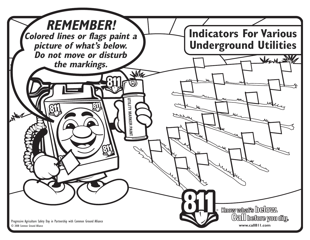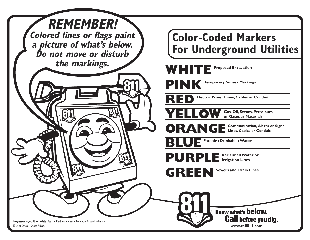